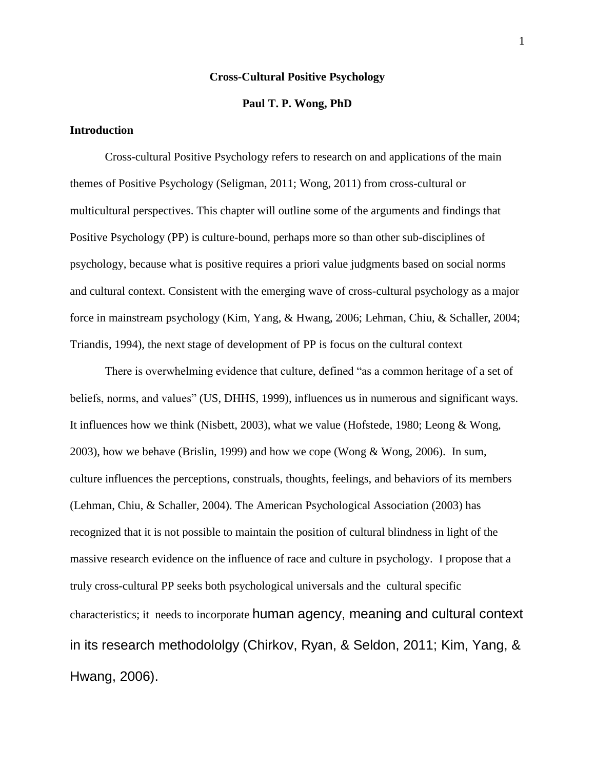## **Cross-Cultural Positive Psychology**

## **Paul T. P. Wong, PhD**

# **Introduction**

Cross-cultural Positive Psychology refers to research on and applications of the main themes of Positive Psychology (Seligman, 2011; Wong, 2011) from cross-cultural or multicultural perspectives. This chapter will outline some of the arguments and findings that Positive Psychology (PP) is culture-bound, perhaps more so than other sub-disciplines of psychology, because what is positive requires a priori value judgments based on social norms and cultural context. Consistent with the emerging wave of cross-cultural psychology as a major force in mainstream psychology (Kim, Yang, & Hwang, 2006; Lehman, Chiu, & Schaller, 2004; Triandis, 1994), the next stage of development of PP is focus on the cultural context

There is overwhelming evidence that culture, defined "as a common heritage of a set of beliefs, norms, and values" (US, DHHS, 1999), influences us in numerous and significant ways. It influences how we think (Nisbett, 2003), what we value (Hofstede, 1980; Leong & Wong, 2003), how we behave (Brislin, 1999) and how we cope (Wong & Wong, 2006). In sum, culture influences the perceptions, construals, thoughts, feelings, and behaviors of its members (Lehman, Chiu, & Schaller, 2004). The American Psychological Association (2003) has recognized that it is not possible to maintain the position of cultural blindness in light of the massive research evidence on the influence of race and culture in psychology. I propose that a truly cross-cultural PP seeks both psychological universals and the cultural specific characteristics; it needs to incorporate human agency, meaning and cultural context in its research methodololgy (Chirkov, Ryan, & Seldon, 2011; Kim, Yang, & Hwang, 2006).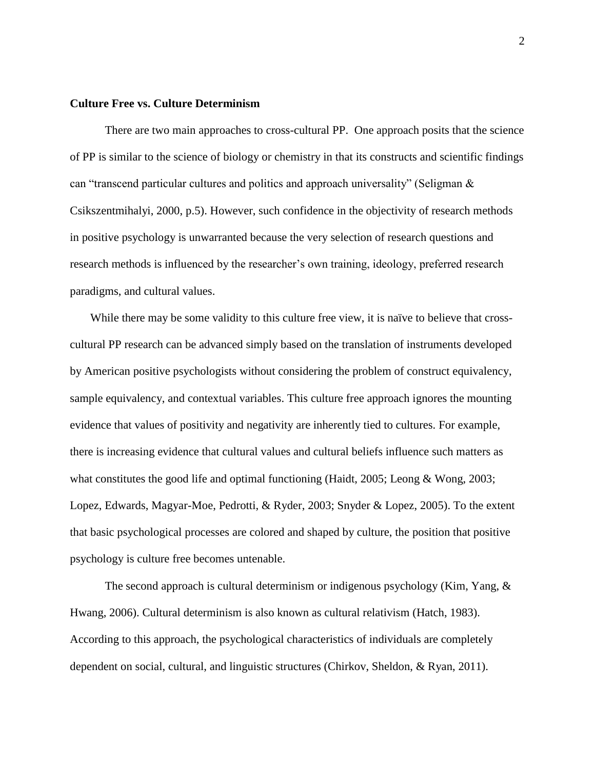### **Culture Free vs. Culture Determinism**

There are two main approaches to cross-cultural PP. One approach posits that the science of PP is similar to the science of biology or chemistry in that its constructs and scientific findings can "transcend particular cultures and politics and approach universality" (Seligman  $\&$ Csikszentmihalyi, 2000, p.5). However, such confidence in the objectivity of research methods in positive psychology is unwarranted because the very selection of research questions and research methods is influenced by the researcher's own training, ideology, preferred research paradigms, and cultural values.

While there may be some validity to this culture free view, it is naïve to believe that crosscultural PP research can be advanced simply based on the translation of instruments developed by American positive psychologists without considering the problem of construct equivalency, sample equivalency, and contextual variables. This culture free approach ignores the mounting evidence that values of positivity and negativity are inherently tied to cultures. For example, there is increasing evidence that cultural values and cultural beliefs influence such matters as what constitutes the good life and optimal functioning (Haidt, 2005; Leong & Wong, 2003; Lopez, Edwards, Magyar-Moe, Pedrotti, & Ryder, 2003; Snyder & Lopez, 2005). To the extent that basic psychological processes are colored and shaped by culture, the position that positive psychology is culture free becomes untenable.

The second approach is cultural determinism or indigenous psychology (Kim, Yang, & Hwang, 2006). Cultural determinism is also known as cultural relativism (Hatch, 1983). According to this approach, the psychological characteristics of individuals are completely dependent on social, cultural, and linguistic structures (Chirkov, Sheldon, & Ryan, 2011).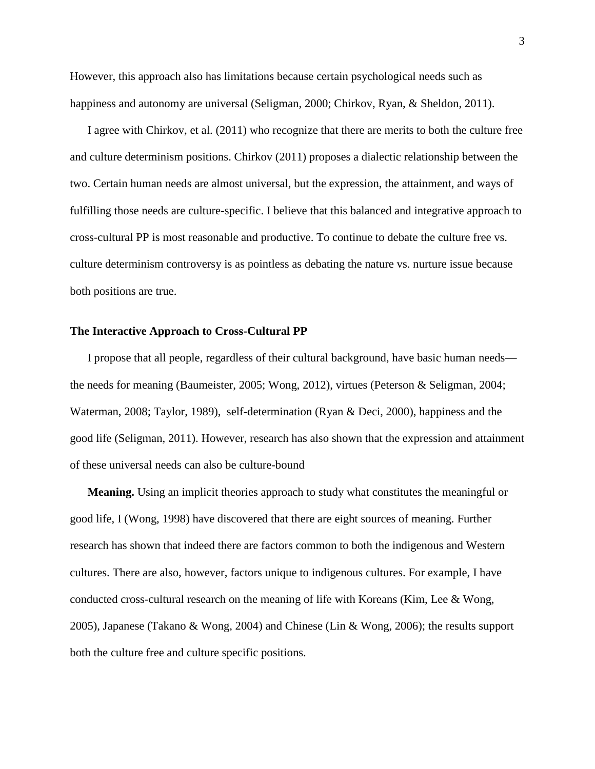However, this approach also has limitations because certain psychological needs such as happiness and autonomy are universal (Seligman, 2000; Chirkov, Ryan, & Sheldon, 2011).

I agree with Chirkov, et al. (2011) who recognize that there are merits to both the culture free and culture determinism positions. Chirkov (2011) proposes a dialectic relationship between the two. Certain human needs are almost universal, but the expression, the attainment, and ways of fulfilling those needs are culture-specific. I believe that this balanced and integrative approach to cross-cultural PP is most reasonable and productive. To continue to debate the culture free vs. culture determinism controversy is as pointless as debating the nature vs. nurture issue because both positions are true.

## **The Interactive Approach to Cross-Cultural PP**

I propose that all people, regardless of their cultural background, have basic human needs the needs for meaning (Baumeister, 2005; Wong, 2012), virtues (Peterson & Seligman, 2004; Waterman, 2008; Taylor, 1989), self-determination (Ryan & Deci, 2000), happiness and the good life (Seligman, 2011). However, research has also shown that the expression and attainment of these universal needs can also be culture-bound

**Meaning.** Using an implicit theories approach to study what constitutes the meaningful or good life, I (Wong, 1998) have discovered that there are eight sources of meaning. Further research has shown that indeed there are factors common to both the indigenous and Western cultures. There are also, however, factors unique to indigenous cultures. For example, I have conducted cross-cultural research on the meaning of life with Koreans (Kim, Lee & Wong, 2005), Japanese (Takano & Wong, 2004) and Chinese (Lin & Wong, 2006); the results support both the culture free and culture specific positions.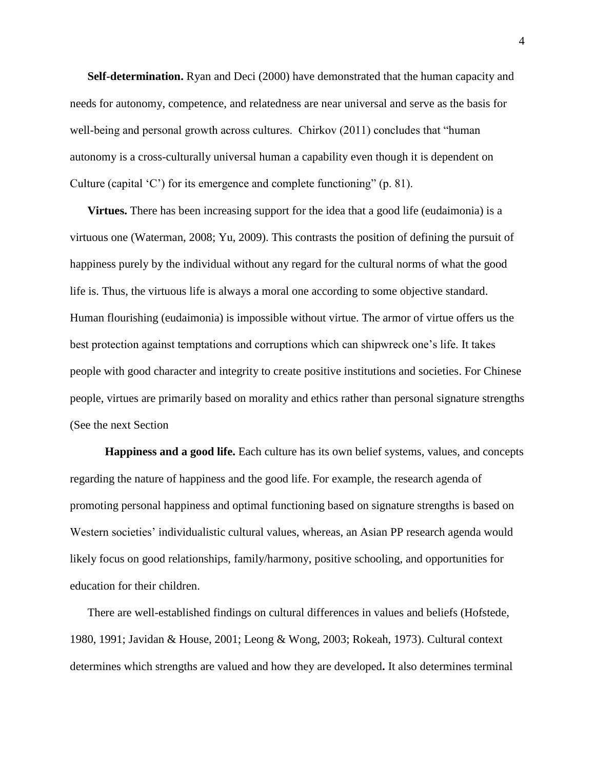**Self-determination.** Ryan and Deci (2000) have demonstrated that the human capacity and needs for autonomy, competence, and relatedness are near universal and serve as the basis for well-being and personal growth across cultures. Chirkov (2011) concludes that "human autonomy is a cross-culturally universal human a capability even though it is dependent on Culture (capital 'C') for its emergence and complete functioning" (p. 81).

**Virtues.** There has been increasing support for the idea that a good life (eudaimonia) is a virtuous one (Waterman, 2008; Yu, 2009). This contrasts the position of defining the pursuit of happiness purely by the individual without any regard for the cultural norms of what the good life is. Thus, the virtuous life is always a moral one according to some objective standard. Human flourishing (eudaimonia) is impossible without virtue. The armor of virtue offers us the best protection against temptations and corruptions which can shipwreck one's life. It takes people with good character and integrity to create positive institutions and societies. For Chinese people, virtues are primarily based on morality and ethics rather than personal signature strengths (See the next Section

**Happiness and a good life.** Each culture has its own belief systems, values, and concepts regarding the nature of happiness and the good life. For example, the research agenda of promoting personal happiness and optimal functioning based on signature strengths is based on Western societies' individualistic cultural values, whereas, an Asian PP research agenda would likely focus on good relationships, family/harmony, positive schooling, and opportunities for education for their children.

There are well-established findings on cultural differences in values and beliefs (Hofstede, 1980, 1991; Javidan & House, 2001; Leong & Wong, 2003; Rokeah, 1973). Cultural context determines which strengths are valued and how they are developed**.** It also determines terminal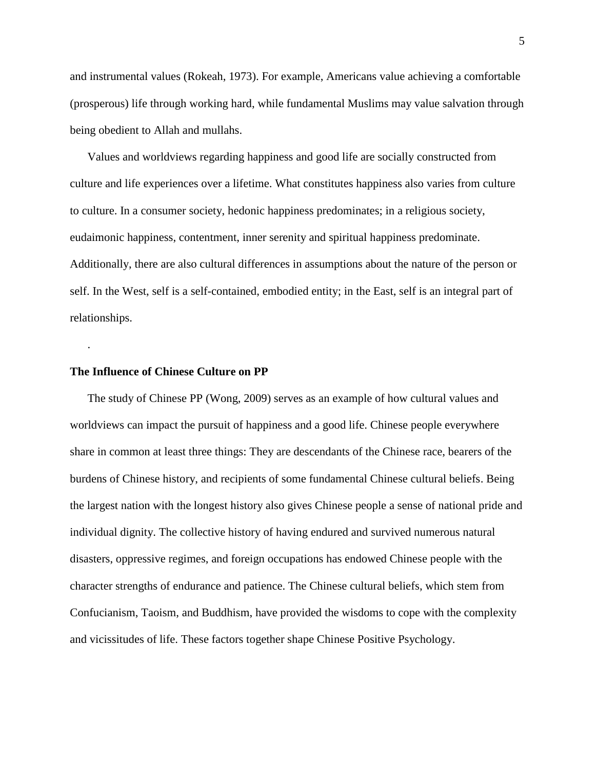and instrumental values (Rokeah, 1973). For example, Americans value achieving a comfortable (prosperous) life through working hard, while fundamental Muslims may value salvation through being obedient to Allah and mullahs.

Values and worldviews regarding happiness and good life are socially constructed from culture and life experiences over a lifetime. What constitutes happiness also varies from culture to culture. In a consumer society, hedonic happiness predominates; in a religious society, eudaimonic happiness, contentment, inner serenity and spiritual happiness predominate. Additionally, there are also cultural differences in assumptions about the nature of the person or self. In the West, self is a self-contained, embodied entity; in the East, self is an integral part of relationships.

#### **The Influence of Chinese Culture on PP**

.

The study of Chinese PP (Wong, 2009) serves as an example of how cultural values and worldviews can impact the pursuit of happiness and a good life. Chinese people everywhere share in common at least three things: They are descendants of the Chinese race, bearers of the burdens of Chinese history, and recipients of some fundamental Chinese cultural beliefs. Being the largest nation with the longest history also gives Chinese people a sense of national pride and individual dignity. The collective history of having endured and survived numerous natural disasters, oppressive regimes, and foreign occupations has endowed Chinese people with the character strengths of endurance and patience. The Chinese cultural beliefs, which stem from Confucianism, Taoism, and Buddhism, have provided the wisdoms to cope with the complexity and vicissitudes of life. These factors together shape Chinese Positive Psychology.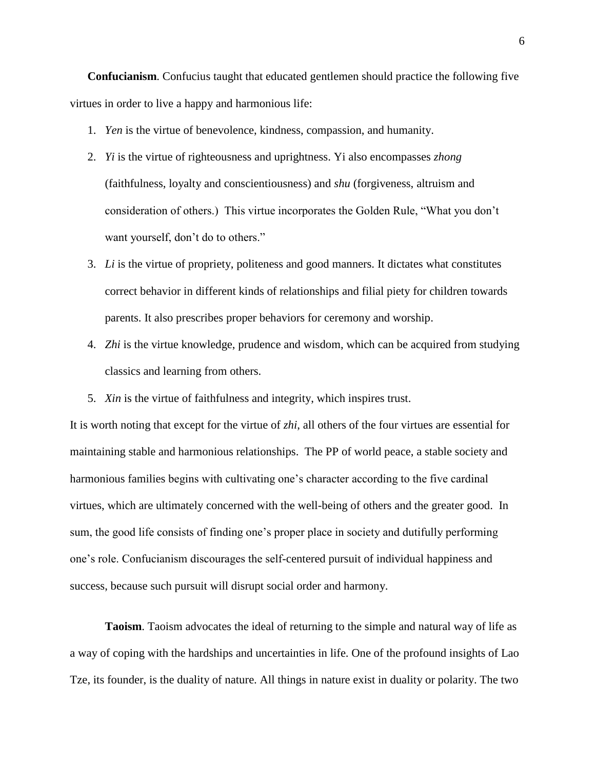**Confucianism**. Confucius taught that educated gentlemen should practice the following five virtues in order to live a happy and harmonious life:

- 1. *Yen* is the virtue of benevolence, kindness, compassion, and humanity.
- 2. *Yi* is the virtue of righteousness and uprightness. Yi also encompasses *zhong* (faithfulness, loyalty and conscientiousness) and *shu* (forgiveness, altruism and consideration of others.) This virtue incorporates the Golden Rule, "What you don't want yourself, don't do to others."
- 3. *Li* is the virtue of propriety, politeness and good manners. It dictates what constitutes correct behavior in different kinds of relationships and filial piety for children towards parents. It also prescribes proper behaviors for ceremony and worship.
- 4. *Zhi* is the virtue knowledge, prudence and wisdom, which can be acquired from studying classics and learning from others.
- 5. *Xin* is the virtue of faithfulness and integrity, which inspires trust.

It is worth noting that except for the virtue of *zhi*, all others of the four virtues are essential for maintaining stable and harmonious relationships. The PP of world peace, a stable society and harmonious families begins with cultivating one's character according to the five cardinal virtues, which are ultimately concerned with the well-being of others and the greater good. In sum, the good life consists of finding one's proper place in society and dutifully performing one's role. Confucianism discourages the self-centered pursuit of individual happiness and success, because such pursuit will disrupt social order and harmony.

**Taoism**. Taoism advocates the ideal of returning to the simple and natural way of life as a way of coping with the hardships and uncertainties in life. One of the profound insights of Lao Tze, its founder, is the duality of nature. All things in nature exist in duality or polarity. The two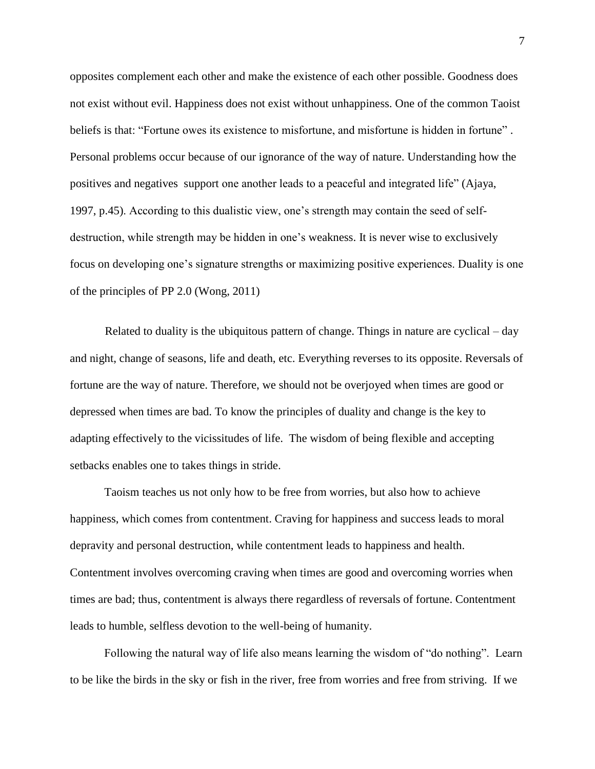opposites complement each other and make the existence of each other possible. Goodness does not exist without evil. Happiness does not exist without unhappiness. One of the common Taoist beliefs is that: "Fortune owes its existence to misfortune, and misfortune is hidden in fortune" . Personal problems occur because of our ignorance of the way of nature. Understanding how the positives and negatives support one another leads to a peaceful and integrated life" (Ajaya, 1997, p.45). According to this dualistic view, one's strength may contain the seed of selfdestruction, while strength may be hidden in one's weakness. It is never wise to exclusively focus on developing one's signature strengths or maximizing positive experiences. Duality is one of the principles of PP 2.0 (Wong, 2011)

Related to duality is the ubiquitous pattern of change. Things in nature are cyclical – day and night, change of seasons, life and death, etc. Everything reverses to its opposite. Reversals of fortune are the way of nature. Therefore, we should not be overjoyed when times are good or depressed when times are bad. To know the principles of duality and change is the key to adapting effectively to the vicissitudes of life. The wisdom of being flexible and accepting setbacks enables one to takes things in stride.

Taoism teaches us not only how to be free from worries, but also how to achieve happiness, which comes from contentment. Craving for happiness and success leads to moral depravity and personal destruction, while contentment leads to happiness and health. Contentment involves overcoming craving when times are good and overcoming worries when times are bad; thus, contentment is always there regardless of reversals of fortune. Contentment leads to humble, selfless devotion to the well-being of humanity.

Following the natural way of life also means learning the wisdom of "do nothing". Learn to be like the birds in the sky or fish in the river, free from worries and free from striving. If we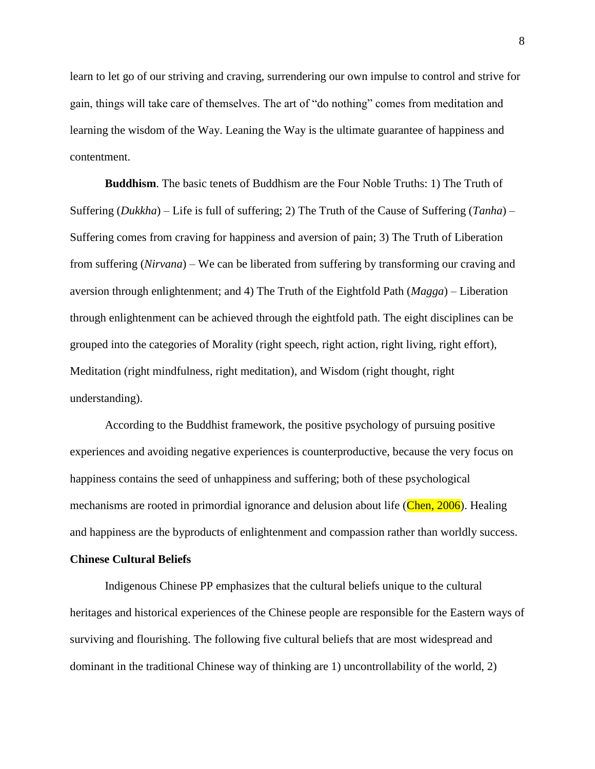learn to let go of our striving and craving, surrendering our own impulse to control and strive for gain, things will take care of themselves. The art of "do nothing" comes from meditation and learning the wisdom of the Way. Leaning the Way is the ultimate guarantee of happiness and contentment.

**Buddhism**. The basic tenets of Buddhism are the Four Noble Truths: 1) The Truth of Suffering (*Dukkha*) – Life is full of suffering; 2) The Truth of the Cause of Suffering (*Tanha*) – Suffering comes from craving for happiness and aversion of pain; 3) The Truth of Liberation from suffering (*Nirvana*) – We can be liberated from suffering by transforming our craving and aversion through enlightenment; and 4) The Truth of the Eightfold Path (*Magga*) – Liberation through enlightenment can be achieved through the eightfold path. The eight disciplines can be grouped into the categories of Morality (right speech, right action, right living, right effort), Meditation (right mindfulness, right meditation), and Wisdom (right thought, right understanding).

According to the Buddhist framework, the positive psychology of pursuing positive experiences and avoiding negative experiences is counterproductive, because the very focus on happiness contains the seed of unhappiness and suffering; both of these psychological mechanisms are rooted in primordial ignorance and delusion about life (Chen, 2006). Healing and happiness are the byproducts of enlightenment and compassion rather than worldly success.

#### **Chinese Cultural Beliefs**

Indigenous Chinese PP emphasizes that the cultural beliefs unique to the cultural heritages and historical experiences of the Chinese people are responsible for the Eastern ways of surviving and flourishing. The following five cultural beliefs that are most widespread and dominant in the traditional Chinese way of thinking are 1) uncontrollability of the world, 2)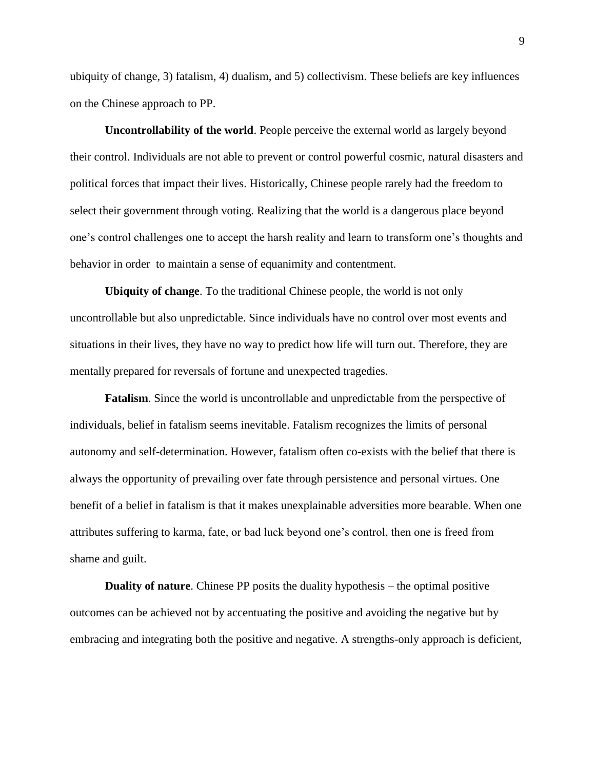ubiquity of change, 3) fatalism, 4) dualism, and 5) collectivism. These beliefs are key influences on the Chinese approach to PP.

**Uncontrollability of the world**. People perceive the external world as largely beyond their control. Individuals are not able to prevent or control powerful cosmic, natural disasters and political forces that impact their lives. Historically, Chinese people rarely had the freedom to select their government through voting. Realizing that the world is a dangerous place beyond one's control challenges one to accept the harsh reality and learn to transform one's thoughts and behavior in order to maintain a sense of equanimity and contentment.

**Ubiquity of change**. To the traditional Chinese people, the world is not only uncontrollable but also unpredictable. Since individuals have no control over most events and situations in their lives, they have no way to predict how life will turn out. Therefore, they are mentally prepared for reversals of fortune and unexpected tragedies.

**Fatalism**. Since the world is uncontrollable and unpredictable from the perspective of individuals, belief in fatalism seems inevitable. Fatalism recognizes the limits of personal autonomy and self-determination. However, fatalism often co-exists with the belief that there is always the opportunity of prevailing over fate through persistence and personal virtues. One benefit of a belief in fatalism is that it makes unexplainable adversities more bearable. When one attributes suffering to karma, fate, or bad luck beyond one's control, then one is freed from shame and guilt.

**Duality of nature**. Chinese PP posits the duality hypothesis – the optimal positive outcomes can be achieved not by accentuating the positive and avoiding the negative but by embracing and integrating both the positive and negative. A strengths-only approach is deficient,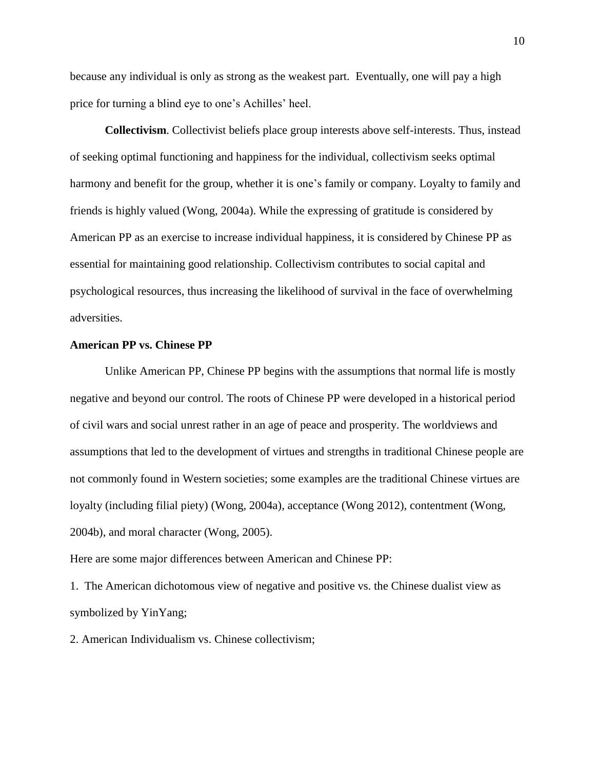because any individual is only as strong as the weakest part. Eventually, one will pay a high price for turning a blind eye to one's Achilles' heel.

**Collectivism**. Collectivist beliefs place group interests above self-interests. Thus, instead of seeking optimal functioning and happiness for the individual, collectivism seeks optimal harmony and benefit for the group, whether it is one's family or company. Loyalty to family and friends is highly valued (Wong, 2004a). While the expressing of gratitude is considered by American PP as an exercise to increase individual happiness, it is considered by Chinese PP as essential for maintaining good relationship. Collectivism contributes to social capital and psychological resources, thus increasing the likelihood of survival in the face of overwhelming adversities.

## **American PP vs. Chinese PP**

Unlike American PP, Chinese PP begins with the assumptions that normal life is mostly negative and beyond our control. The roots of Chinese PP were developed in a historical period of civil wars and social unrest rather in an age of peace and prosperity. The worldviews and assumptions that led to the development of virtues and strengths in traditional Chinese people are not commonly found in Western societies; some examples are the traditional Chinese virtues are loyalty (including filial piety) (Wong, 2004a), acceptance (Wong 2012), contentment (Wong, 2004b), and moral character (Wong, 2005).

Here are some major differences between American and Chinese PP:

1. The American dichotomous view of negative and positive vs. the Chinese dualist view as symbolized by YinYang;

2. American Individualism vs. Chinese collectivism;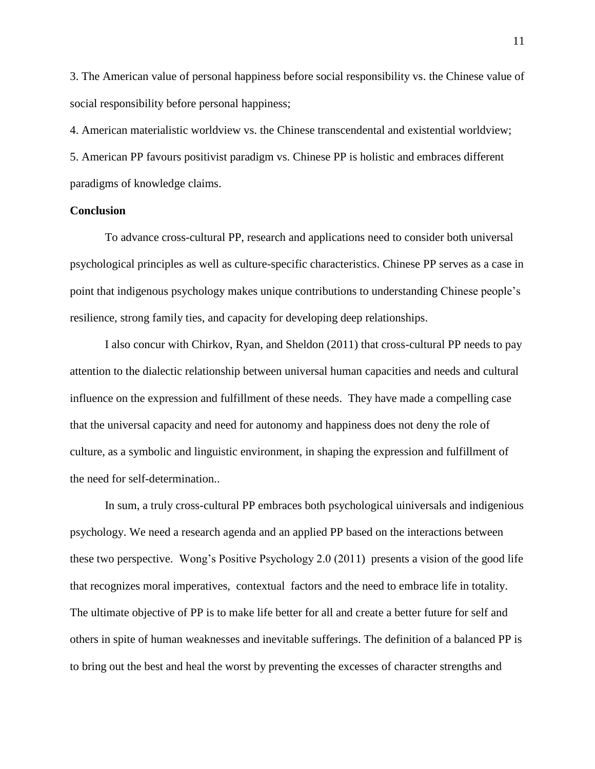3. The American value of personal happiness before social responsibility vs. the Chinese value of social responsibility before personal happiness;

4. American materialistic worldview vs. the Chinese transcendental and existential worldview; 5. American PP favours positivist paradigm vs. Chinese PP is holistic and embraces different

paradigms of knowledge claims.

## **Conclusion**

To advance cross-cultural PP, research and applications need to consider both universal psychological principles as well as culture-specific characteristics. Chinese PP serves as a case in point that indigenous psychology makes unique contributions to understanding Chinese people's resilience, strong family ties, and capacity for developing deep relationships.

I also concur with Chirkov, Ryan, and Sheldon (2011) that cross-cultural PP needs to pay attention to the dialectic relationship between universal human capacities and needs and cultural influence on the expression and fulfillment of these needs. They have made a compelling case that the universal capacity and need for autonomy and happiness does not deny the role of culture, as a symbolic and linguistic environment, in shaping the expression and fulfillment of the need for self-determination..

In sum, a truly cross-cultural PP embraces both psychological uiniversals and indigenious psychology. We need a research agenda and an applied PP based on the interactions between these two perspective. Wong's Positive Psychology 2.0 (2011) presents a vision of the good life that recognizes moral imperatives, contextual factors and the need to embrace life in totality. The ultimate objective of PP is to make life better for all and create a better future for self and others in spite of human weaknesses and inevitable sufferings. The definition of a balanced PP is to bring out the best and heal the worst by preventing the excesses of character strengths and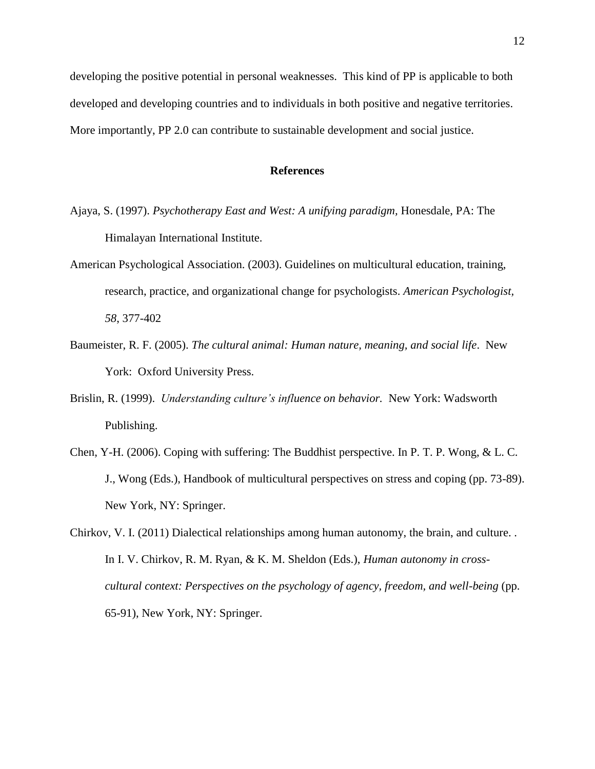developing the positive potential in personal weaknesses. This kind of PP is applicable to both developed and developing countries and to individuals in both positive and negative territories. More importantly, PP 2.0 can contribute to sustainable development and social justice.

## **References**

- Ajaya, S. (1997). *Psychotherapy East and West: A unifying paradigm,* Honesdale, PA: The Himalayan International Institute.
- American Psychological Association. (2003). Guidelines on multicultural education, training, research, practice, and organizational change for psychologists. *American Psychologist, 58*, 377-402
- Baumeister, R. F. (2005). *The cultural animal: Human nature, meaning, and social life*. New York: Oxford University Press.
- Brislin, R. (1999). *Understanding culture's influence on behavior.* New York: Wadsworth Publishing.
- Chen, Y-H. (2006). Coping with suffering: The Buddhist perspective. In P. T. P. Wong, & L. C. J., Wong (Eds.), Handbook of multicultural perspectives on stress and coping (pp. 73-89). New York, NY: Springer.
- Chirkov, V. I. (2011) Dialectical relationships among human autonomy, the brain, and culture. . In I. V. Chirkov, R. M. Ryan, & K. M. Sheldon (Eds.), *Human autonomy in crosscultural context: Perspectives on the psychology of agency, freedom, and well-being* (pp. 65-91), New York, NY: Springer.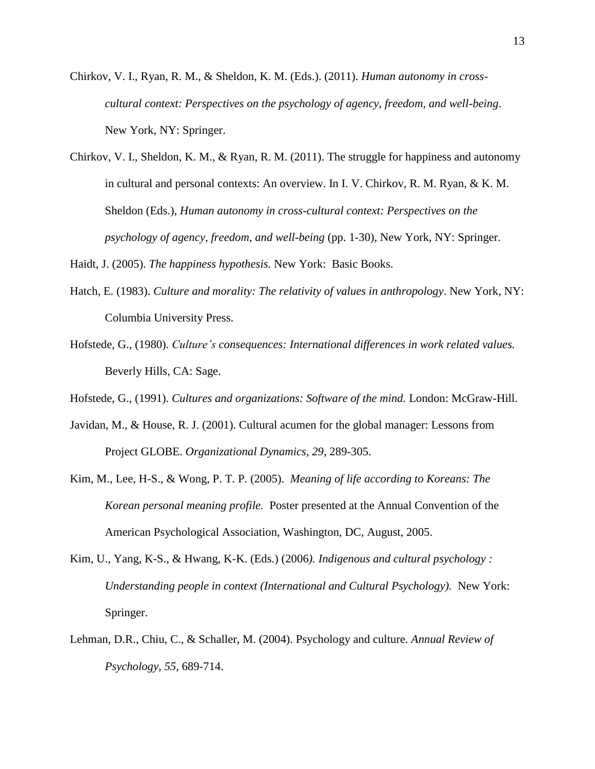- Chirkov, V. I., Ryan, R. M., & Sheldon, K. M. (Eds.). (2011). *Human autonomy in crosscultural context: Perspectives on the psychology of agency, freedom, and well-being*. New York, NY: Springer.
- Chirkov, V. I., Sheldon, K. M., & Ryan, R. M. (2011). The struggle for happiness and autonomy in cultural and personal contexts: An overview. In I. V. Chirkov, R. M. Ryan, & K. M. Sheldon (Eds.), *Human autonomy in cross-cultural context: Perspectives on the psychology of agency, freedom, and well-being* (pp. 1-30), New York, NY: Springer.

Haidt, J. (2005). *The happiness hypothesis.* New York: Basic Books.

- Hatch, E. (1983). *Culture and morality: The relativity of values in anthropology*. New York, NY: Columbia University Press.
- Hofstede, G., (1980). *Culture's consequences: International differences in work related values.* Beverly Hills, CA: Sage.
- Hofstede, G., (1991). *Cultures and organizations: Software of the mind.* London: McGraw-Hill.
- Javidan, M., & House, R. J. (2001). Cultural acumen for the global manager: Lessons from Project GLOBE. *Organizational Dynamics, 29,* 289-305.
- Kim, M., Lee, H-S., & Wong, P. T. P. (2005). *Meaning of life according to Koreans: The Korean personal meaning profile.* Poster presented at the Annual Convention of the American Psychological Association, Washington, DC, August, 2005.
- Kim, U., Yang, K-S., & Hwang, K-K. (Eds.) (2006*). Indigenous and cultural psychology : Understanding people in context (International and Cultural Psychology).* New York: Springer.
- Lehman, D.R., Chiu, C., & Schaller, M. (2004). Psychology and culture. *Annual Review of Psychology, 55,* 689-714.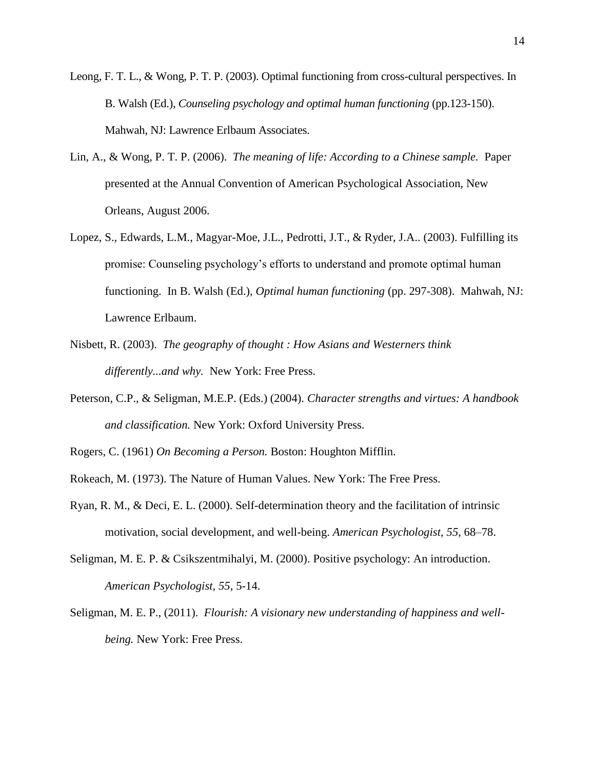- Leong, F. T. L., & Wong, P. T. P. (2003). Optimal functioning from cross-cultural perspectives. In B. Walsh (Ed.), *Counseling psychology and optimal human functioning* (pp.123-150). Mahwah, NJ: Lawrence Erlbaum Associates.
- Lin, A., & Wong, P. T. P. (2006). *The meaning of life: According to a Chinese sample.* Paper presented at the Annual Convention of American Psychological Association, New Orleans, August 2006.
- Lopez, S., Edwards, L.M., Magyar-Moe, J.L., Pedrotti, J.T., & Ryder, J.A.. (2003). Fulfilling its promise: Counseling psychology's efforts to understand and promote optimal human functioning. In B. Walsh (Ed.), *Optimal human functioning* (pp. 297-308). Mahwah, NJ: Lawrence Erlbaum.
- Nisbett, R. (2003). *The geography of thought : How Asians and Westerners think differently...and why.* New York: Free Press.
- Peterson, C.P., & Seligman, M.E.P. (Eds.) (2004). *Character strengths and virtues: A handbook and classification.* New York: Oxford University Press.
- Rogers, C. (1961) *On Becoming a Person.* Boston: Houghton Mifflin.
- Rokeach, M. (1973). The Nature of Human Values. New York: The Free Press.
- Ryan, R. M., & Deci, E. L. (2000). Self-determination theory and the facilitation of intrinsic motivation, social development, and well-being. *American Psychologist*, *55*, 68–78.
- Seligman, M. E. P. & Csikszentmihalyi, M. (2000). Positive psychology: An introduction. *American Psychologist, 55*, 5-14.
- Seligman, M. E. P., (2011). *Flourish: A visionary new understanding of happiness and wellbeing.* New York: Free Press.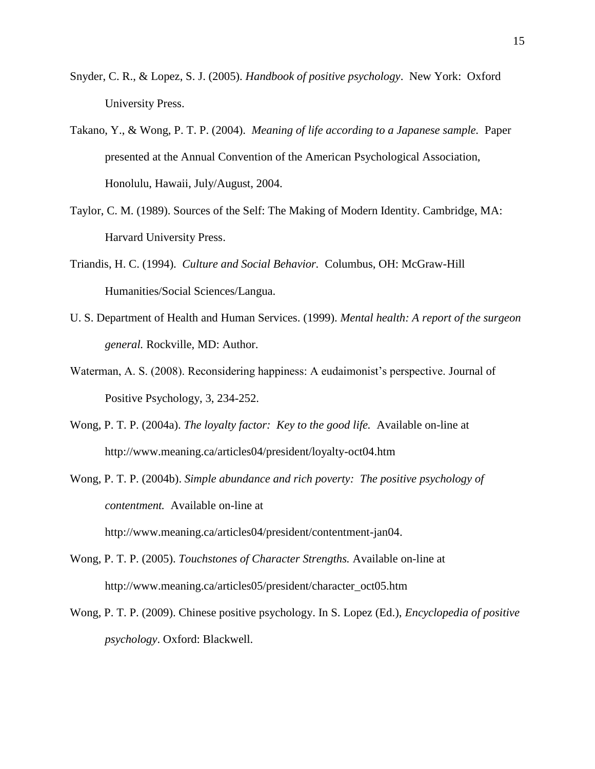- Snyder, C. R., & Lopez, S. J. (2005). *Handbook of positive psychology*. New York: Oxford University Press.
- Takano, Y., & Wong, P. T. P. (2004). *Meaning of life according to a Japanese sample.* Paper presented at the Annual Convention of the American Psychological Association, Honolulu, Hawaii, July/August, 2004.
- Taylor, C. M. (1989). Sources of the Self: The Making of Modern Identity. Cambridge, MA: Harvard University Press.
- Triandis, H. C. (1994). *Culture and Social Behavior.* Columbus, OH: McGraw-Hill Humanities/Social Sciences/Langua.
- U. S. Department of Health and Human Services. (1999). *Mental health: A report of the surgeon general.* Rockville, MD: Author.
- Waterman, A. S. (2008). Reconsidering happiness: A eudaimonist's perspective. Journal of Positive Psychology, 3, 234-252.
- Wong, P. T. P. (2004a). *The loyalty factor: Key to the good life.* Available on-line at http://www.meaning.ca/articles04/president/loyalty-oct04.htm
- Wong, P. T. P. (2004b). *Simple abundance and rich poverty: The positive psychology of contentment.* Available on-line at http://www.meaning.ca/articles04/president/contentment-jan04.
- Wong, P. T. P. (2005). *Touchstones of Character Strengths.* Available on-line at http://www.meaning.ca/articles05/president/character\_oct05.htm
- Wong, P. T. P. (2009). Chinese positive psychology. In S. Lopez (Ed.), *Encyclopedia of positive psychology*. Oxford: Blackwell.